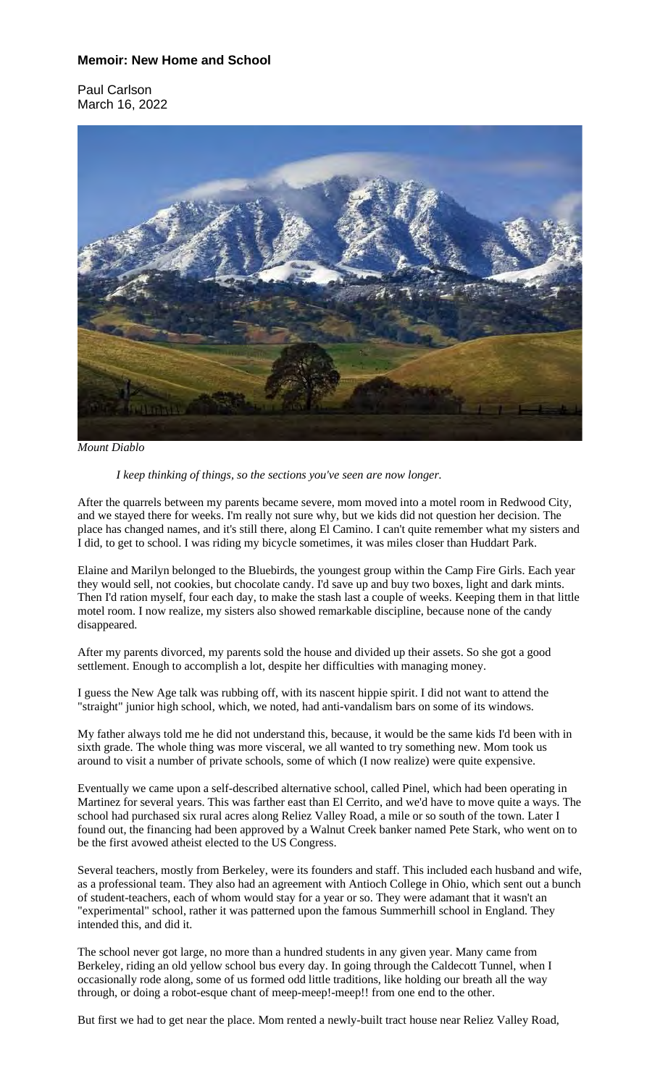## **Memoir: New Home and School**

Paul Carlson March 16, 2022



*Mount Diablo*

*I keep thinking of things, so the sections you've seen are now longer.*

After the quarrels between my parents became severe, mom moved into a motel room in Redwood City, and we stayed there for weeks. I'm really not sure why, but we kids did not question her decision. The place has changed names, and it's still there, along El Camino. I can't quite remember what my sisters and I did, to get to school. I was riding my bicycle sometimes, it was miles closer than Huddart Park.

Elaine and Marilyn belonged to the Bluebirds, the youngest group within the Camp Fire Girls. Each year they would sell, not cookies, but chocolate candy. I'd save up and buy two boxes, light and dark mints. Then I'd ration myself, four each day, to make the stash last a couple of weeks. Keeping them in that little motel room. I now realize, my sisters also showed remarkable discipline, because none of the candy disappeared.

After my parents divorced, my parents sold the house and divided up their assets. So she got a good settlement. Enough to accomplish a lot, despite her difficulties with managing money.

I guess the New Age talk was rubbing off, with its nascent hippie spirit. I did not want to attend the "straight" junior high school, which, we noted, had anti-vandalism bars on some of its windows.

My father always told me he did not understand this, because, it would be the same kids I'd been with in sixth grade. The whole thing was more visceral, we all wanted to try something new. Mom took us around to visit a number of private schools, some of which (I now realize) were quite expensive.

Eventually we came upon a self-described alternative school, called Pinel, which had been operating in Martinez for several years. This was farther east than El Cerrito, and we'd have to move quite a ways. The school had purchased six rural acres along Reliez Valley Road, a mile or so south of the town. Later I found out, the financing had been approved by a Walnut Creek banker named Pete Stark, who went on to be the first avowed atheist elected to the US Congress.

Several teachers, mostly from Berkeley, were its founders and staff. This included each husband and wife, as a professional team. They also had an agreement with Antioch College in Ohio, which sent out a bunch of student-teachers, each of whom would stay for a year or so. They were adamant that it wasn't an "experimental" school, rather it was patterned upon the famous Summerhill school in England. They intended this, and did it.

The school never got large, no more than a hundred students in any given year. Many came from Berkeley, riding an old yellow school bus every day. In going through the Caldecott Tunnel, when I occasionally rode along, some of us formed odd little traditions, like holding our breath all the way through, or doing a robot-esque chant of meep-meep!-meep!! from one end to the other.

But first we had to get near the place. Mom rented a newly-built tract house near Reliez Valley Road,